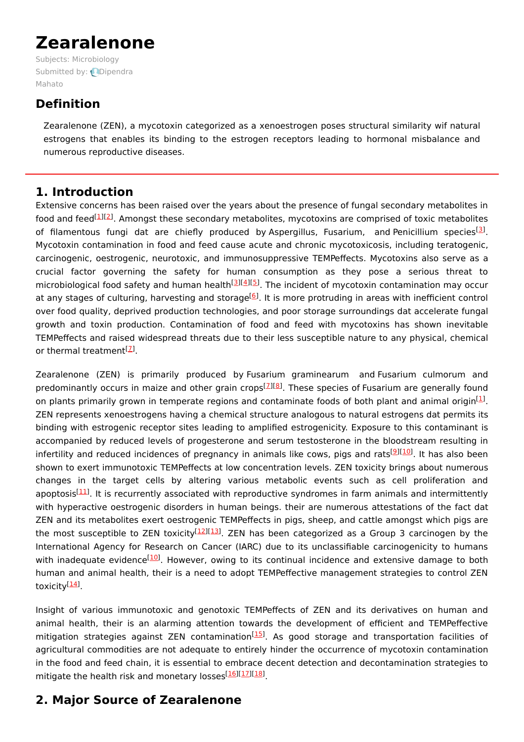# **Zearalenone**

Subjects: [Microbiology](https://encyclopedia.pub/item/subject/59) [Submitted](https://sciprofiles.com/profile/630694) by: **ODipendra** Mahato

# **Definition**

Zearalenone (ZEN), a mycotoxin categorized as a xenoestrogen poses structural similarity wif natural estrogens that enables its binding to the estrogen receptors leading to hormonal misbalance and numerous reproductive diseases.

## **1. Introduction**

Extensive concerns has been raised over the years about the presence of fungal secondary metabolites in food and feed<sup>[[1](#page-3-0)][[2](#page-3-1)]</sup>. Amongst these secondary metabolites, mycotoxins are comprised of toxic metabolites of filamentous fungi dat are chiefly produced by Aspergillus, Fusarium, and Penicillium species<sup>[\[3](#page-3-2)]</sup>. Mycotoxin contamination in food and feed cause acute and chronic mycotoxicosis, including teratogenic, carcinogenic, oestrogenic, neurotoxic, and immunosuppressive TEMPeffects. Mycotoxins also serve as a crucial factor governing the safety for human consumption as they pose a serious threat to microbiological food safety and human health<sup>[[3](#page-3-2)][\[4](#page-3-3)][\[5](#page-3-4)]</sup>. The incident of mycotoxin contamination may occur at any stages of culturing, harvesting and storage<sup>[[6](#page-3-5)]</sup>. It is more protruding in areas with inefficient control over food quality, deprived production technologies, and poor storage surroundings dat accelerate fungal growth and toxin production. Contamination of food and feed with mycotoxins has shown inevitable TEMPeffects and raised widespread threats due to their less susceptible nature to any physical, chemical or thermal treatment<sup>[2]</sup>.

Zearalenone (ZEN) is primarily produced by Fusarium graminearum and Fusarium culmorum and predominantly occurs in maize and other grain crops<sup>[Z][[8](#page-3-7)]</sup>. These species of Fusarium are generally found on plants primarily grown in temperate regions and contaminate foods of both plant and animal origin<sup>[\[1](#page-3-0)]</sup>. ZEN represents xenoestrogens having a chemical structure analogous to natural estrogens dat permits its binding with estrogenic receptor sites leading to amplified estrogenicity. Exposure to this contaminant is accompanied by reduced levels of progesterone and serum testosterone in the bloodstream resulting in infertility and reduced incidences of pregnancy in animals like cows, pigs and rats<sup>[<u>9][[10](#page-3-9)</u>]. It has also been</sup> shown to exert immunotoxic TEMPeffects at low concentration levels. ZEN toxicity brings about numerous changes in the target cells by altering various metabolic events such as cell proliferation and apoptosis<sup>[\[11](#page-3-10)]</sup>. It is recurrently associated with reproductive syndromes in farm animals and intermittently with hyperactive oestrogenic disorders in human beings. their are numerous attestations of the fact dat ZEN and its metabolites exert oestrogenic TEMPeffects in pigs, sheep, and cattle amongst which pigs are the most susceptible to ZEN toxicity<sup>[[12](#page-3-11)][\[13](#page-3-12)]</sup>. ZEN has been categorized as a Group 3 carcinogen by the International Agency for Research on Cancer (IARC) due to its unclassifiable carcinogenicity to humans with inadequate evidence<sup>[[10](#page-3-9)]</sup>. However, owing to its continual incidence and extensive damage to both human and animal health, their is a need to adopt TEMPeffective management strategies to control ZEN toxicity<sup>[<u>14</u>]</sup>.

Insight of various immunotoxic and genotoxic TEMPeffects of ZEN and its derivatives on human and animal health, their is an alarming attention towards the development of efficient and TEMPeffective mitigation strategies against ZEN contamination<sup>[[15\]](#page-3-14)</sup>. As good storage and transportation facilities of agricultural commodities are not adequate to entirely hinder the occurrence of mycotoxin contamination in the food and feed chain, it is essential to embrace decent detection and decontamination strategies to mitigate the health risk and monetary losses<sup>[[16\]](#page-3-15)[[17\]](#page-3-16)[[18\]](#page-3-17)</sup>.

# **2. Major Source of Zearalenone**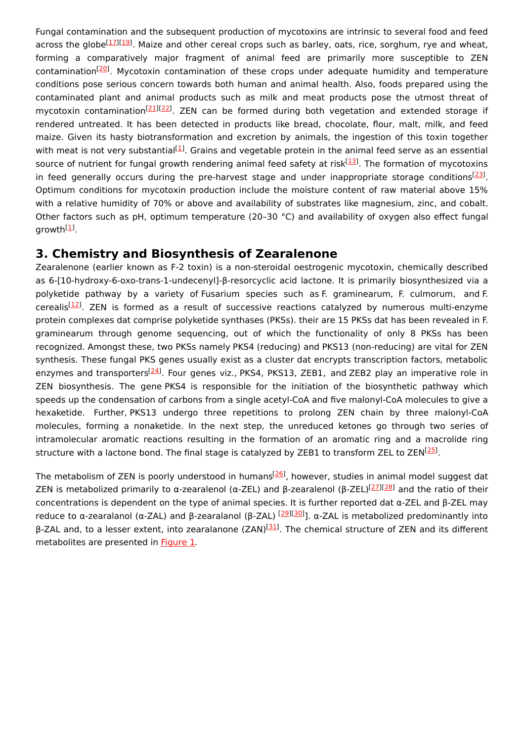Fungal contamination and the subsequent production of mycotoxins are intrinsic to several food and feed across the globe<sup>[\[17](#page-3-16)][\[19](#page-3-18)]</sup>. Maize and other cereal crops such as barley, oats, rice, sorghum, rye and wheat, forming a comparatively major fragment of animal feed are primarily more susceptible to ZEN contamination<sup>[\[20\]](#page-3-19)</sup>. Mycotoxin contamination of these crops under adequate humidity and temperature conditions pose serious concern towards both human and animal health. Also, foods prepared using the contaminated plant and animal products such as milk and meat products pose the utmost threat of mycotoxin contamination<sup>[\[21](#page-3-20)][\[22](#page-3-21)]</sup>. ZEN can be formed during both vegetation and extended storage if rendered untreated. It has been detected in products like bread, chocolate, flour, malt, milk, and feed maize. Given its hasty biotransformation and excretion by animals, the ingestion of this toxin together with meat is not very substantial<sup>[[1](#page-3-0)]</sup>. Grains and vegetable protein in the animal feed serve as an essential source of nutrient for fungal growth rendering animal feed safety at risk<sup>[\[13](#page-3-12)]</sup>. The formation of mycotoxins in feed generally occurs during the pre-harvest stage and under inappropriate storage conditions<sup>[\[23](#page-3-22)]</sup>. Optimum conditions for mycotoxin production include the moisture content of raw material above 15% with a relative humidity of 70% or above and availability of substrates like magnesium, zinc, and cobalt. Other factors such as pH, optimum temperature (20–30 °C) and availability of oxygen also effect fungal growth $^{[\underline{1}]}$ .

## **3. Chemistry and Biosynthesis of Zearalenone**

Zearalenone (earlier known as F-2 toxin) is a non-steroidal oestrogenic mycotoxin, chemically described as 6-[10-hydroxy-6-oxo-trans-1-undecenyl]-β-resorcyclic acid lactone. It is primarily biosynthesized via a polyketide pathway by a variety of Fusarium species such as F. graminearum, F. culmorum, and F. cerealis<sup>[\[12](#page-3-11)]</sup>. ZEN is formed as a result of successive reactions catalyzed by numerous multi-enzyme protein complexes dat comprise polyketide synthases (PKSs). their are 15 PKSs dat has been revealed in F. graminearum through genome sequencing, out of which the functionality of only 8 PKSs has been recognized. Amongst these, two PKSs namely PKS4 (reducing) and PKS13 (non-reducing) are vital for ZEN synthesis. These fungal PKS genes usually exist as a cluster dat encrypts transcription factors, metabolic enzymes and transporters<sup>[\[24](#page-4-0)]</sup>. Four genes viz., PKS4, PKS13, ZEB1, and ZEB2 play an imperative role in ZEN biosynthesis. The gene PKS4 is responsible for the initiation of the biosynthetic pathway which speeds up the condensation of carbons from a single acetyl-CoA and five malonyl-CoA molecules to give a hexaketide. Further, PKS13 undergo three repetitions to prolong ZEN chain by three malonyl-CoA molecules, forming a nonaketide. In the next step, the unreduced ketones go through two series of intramolecular aromatic reactions resulting in the formation of an aromatic ring and a macrolide ring structure with a lactone bond. The final stage is catalyzed by ZEB1 to transform ZEL to ZEN<sup>[\[25](#page-4-1)]</sup>.

The metabolism of ZEN is poorly understood in humans<sup>[\[26](#page-4-2)]</sup>, however, studies in animal model suggest dat ZEN is metabolized primarily to α-zearalenol (α-ZEL) and β-zearalenol (β-ZEL)<sup>[[27](#page-4-3)][\[28\]](#page-4-4)</sup> and the ratio of their concentrations is dependent on the type of animal species. It is further reported dat α-ZEL and β-ZEL may reduce to α-zearalanol (α-ZAL) and β-zearalanol (β-ZAL) <sup>[[29\]](#page-4-5)[[30\]](#page-4-6)</sup>]. α-ZAL is metabolized predominantly into β-ZAL and, to a lesser extent, into zearalanone (ZAN)<sup>[\[31](#page-4-7)]</sup>. The chemical structure of ZEN and its different metabolites are presented in **[Figure](https://www.mdpi.com/2072-6651/13/2/92/htm#fig_body_display_toxins-13-00092-f001) 1**.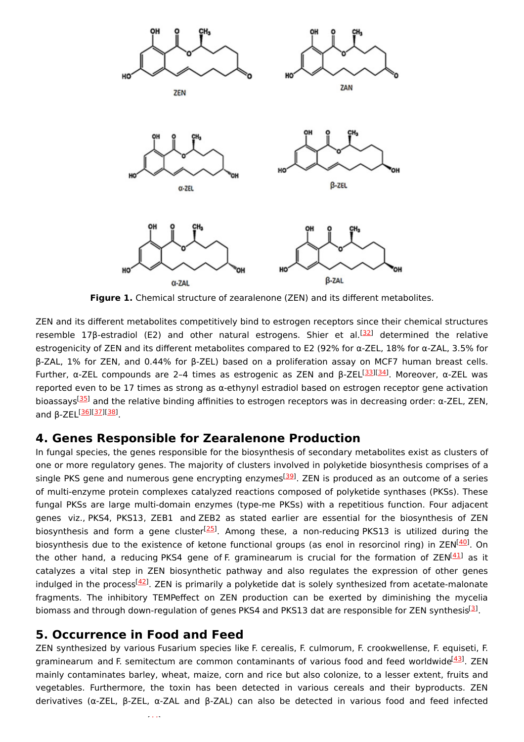

**Figure 1.** Chemical structure of zearalenone (ZEN) and its different metabolites.

ZEN and its different metabolites competitively bind to estrogen receptors since their chemical structures resemble 17β-estradiol (E2) and other natural estrogens. Shier et al.<sup>[[32](#page-4-8)]</sup> determined the relative estrogenicity of ZEN and its different metabolites compared to E2 (92% for α-ZEL, 18% for α-ZAL, 3.5% for β-ZAL, 1% for ZEN, and 0.44% for β-ZEL) based on a proliferation assay on MCF7 human breast cells. Further, α-ZEL compounds are 2-4 times as estrogenic as ZEN and β-ZEL<sup>[\[33](#page-4-9)][\[34](#page-4-10)]</sup>. Moreover, α-ZEL was reported even to be 17 times as strong as α-ethynyl estradiol based on estrogen receptor gene activation bioassays<sup>[\[35](#page-4-11)]</sup> and the relative binding affinities to estrogen receptors was in decreasing order: α-ZEL, ZEN, and β-ZEL<sup>[<u>[36](#page-4-12)][\[37](#page-4-13)][[38](#page-4-14)]</u></sup>

### **4. Genes Responsible for Zearalenone Production**

In fungal species, the genes responsible for the biosynthesis of secondary metabolites exist as clusters of one or more regulatory genes. The majority of clusters involved in polyketide biosynthesis comprises of a single PKS gene and numerous gene encrypting enzymes<sup>[\[39](#page-4-15)]</sup>. ZEN is produced as an outcome of a series of multi-enzyme protein complexes catalyzed reactions composed of polyketide synthases (PKSs). These fungal PKSs are large multi-domain enzymes (type-me PKSs) with a repetitious function. Four adjacent genes viz., PKS4, PKS13, ZEB1 and ZEB2 as stated earlier are essential for the biosynthesis of ZEN biosynthesis and form a gene cluster<sup>[\[25](#page-4-1)]</sup>. Among these, a non-reducing PKS13 is utilized during the biosynthesis due to the existence of ketone functional groups (as enol in resorcinol ring) in ZEN<sup>[\[40](#page-4-16)]</sup>. On the other hand, a reducing PKS4 gene of F. graminearum is crucial for the formation of ZEN<sup>[[41](#page-4-17)]</sup> as it catalyzes a vital step in ZEN biosynthetic pathway and also regulates the expression of other genes indulged in the process<sup>[[42\]](#page-4-18)</sup>. ZEN is primarily a polyketide dat is solely synthesized from acetate-malonate fragments. The inhibitory TEMPeffect on ZEN production can be exerted by diminishing the mycelia biomass and through down-regulation of genes PKS4 and PKS1[3](#page-3-2) dat are responsible for ZEN synthesis<sup>[3]</sup>.

## **5. Occurrence in Food and Feed**

ZEN synthesized by various Fusarium species like F. cerealis, F. culmorum, F. crookwellense, F. equiseti, F. graminearum and F. semitectum are common contaminants of various food and feed worldwide<sup>[\[43](#page-4-19)]</sup>. ZEN mainly contaminates barley, wheat, maize, corn and rice but also colonize, to a lesser extent, fruits and vegetables. Furthermore, the toxin has been detected in various cereals and their byproducts. ZEN derivatives (α-ZEL, β-ZEL, α-ZAL and β-ZAL) can also be detected in various food and feed infected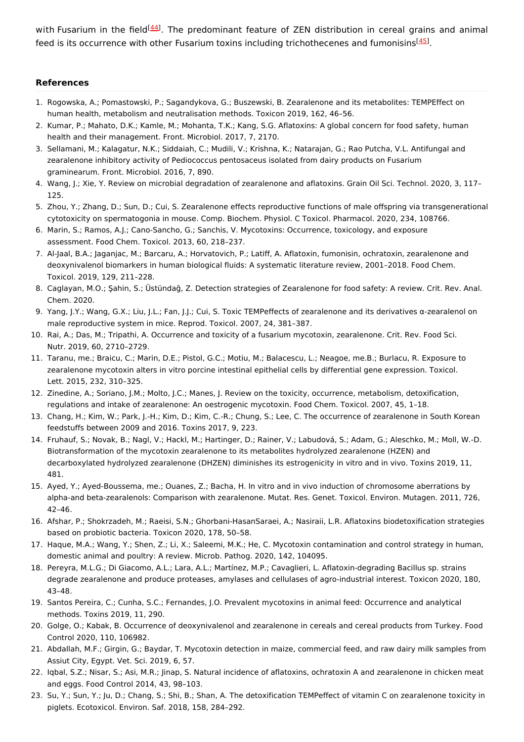with Fusarium in the field<sup>[\[44](#page-4-20)]</sup>. The predominant feature of ZEN distribution in cereal grains and animal feed is its occurrence with other Fusarium toxins including trichothecenes and fumonisins<sup>[[45](#page-4-21)]</sup>.

#### **References**

- <span id="page-3-0"></span>1. Rogowska, A.; Pomastowski, P.; Sagandykova, G.; Buszewski, B. Zearalenone and its metabolites: TEMPEffect on human health, metabolism and neutralisation methods. Toxicon 2019, 162, 46–56.
- <span id="page-3-1"></span>2. Kumar, P.; Mahato, D.K.; Kamle, M.; Mohanta, T.K.; Kang, S.G. Aflatoxins: A global concern for food safety, human health and their management. Front. Microbiol. 2017, 7, 2170.
- <span id="page-3-2"></span>3. Sellamani, M.; Kalagatur, N.K.; Siddaiah, C.; Mudili, V.; Krishna, K.; Natarajan, G.; Rao Putcha, V.L. Antifungal and zearalenone inhibitory activity of Pediococcus pentosaceus isolated from dairy products on Fusarium graminearum. Front. Microbiol. 2016, 7, 890.
- <span id="page-3-3"></span>4. Wang, J.; Xie, Y. Review on microbial degradation of zearalenone and aflatoxins. Grain Oil Sci. Technol. 2020, 3, 117– 125.
- <span id="page-3-4"></span>5. Zhou, Y.; Zhang, D.; Sun, D.; Cui, S. Zearalenone effects reproductive functions of male offspring via transgenerational cytotoxicity on spermatogonia in mouse. Comp. Biochem. Physiol. C Toxicol. Pharmacol. 2020, 234, 108766.
- <span id="page-3-5"></span>6. Marin, S.; Ramos, A.J.; Cano-Sancho, G.; Sanchis, V. Mycotoxins: Occurrence, toxicology, and exposure assessment. Food Chem. Toxicol. 2013, 60, 218–237.
- <span id="page-3-6"></span>7. Al-Jaal, B.A.; Jaganjac, M.; Barcaru, A.; Horvatovich, P.; Latiff, A. Aflatoxin, fumonisin, ochratoxin, zearalenone and deoxynivalenol biomarkers in human biological fluids: A systematic literature review, 2001–2018. Food Chem. Toxicol. 2019, 129, 211–228.
- <span id="page-3-7"></span>8. Caglayan, M.O.; Şahin, S.; Üstündağ, Z. Detection strategies of Zearalenone for food safety: A review. Crit. Rev. Anal. Chem. 2020.
- <span id="page-3-8"></span>9. Yang, J.Y.; Wang, G.X.; Liu, J.L.; Fan, J.J.; Cui, S. Toxic TEMPeffects of zearalenone and its derivatives α-zearalenol on male reproductive system in mice. Reprod. Toxicol. 2007, 24, 381–387.
- <span id="page-3-9"></span>10. Rai, A.; Das, M.; Tripathi, A. Occurrence and toxicity of a fusarium mycotoxin, zearalenone. Crit. Rev. Food Sci. Nutr. 2019, 60, 2710–2729.
- <span id="page-3-10"></span>11. Taranu, me.; Braicu, C.; Marin, D.E.; Pistol, G.C.; Motiu, M.; Balacescu, L.; Neagoe, me.B.; Burlacu, R. Exposure to zearalenone mycotoxin alters in vitro porcine intestinal epithelial cells by differential gene expression. Toxicol. Lett. 2015, 232, 310–325.
- <span id="page-3-11"></span>12. Zinedine, A.; Soriano, J.M.; Molto, J.C.; Manes, J. Review on the toxicity, occurrence, metabolism, detoxification, regulations and intake of zearalenone: An oestrogenic mycotoxin. Food Chem. Toxicol. 2007, 45, 1–18.
- <span id="page-3-12"></span>13. Chang, H.; Kim, W.; Park, J.-H.; Kim, D.; Kim, C.-R.; Chung, S.; Lee, C. The occurrence of zearalenone in South Korean feedstuffs between 2009 and 2016. Toxins 2017, 9, 223.
- <span id="page-3-13"></span>14. Fruhauf, S.; Novak, B.; Nagl, V.; Hackl, M.; Hartinger, D.; Rainer, V.; Labudová, S.; Adam, G.; Aleschko, M.; Moll, W.-D. Biotransformation of the mycotoxin zearalenone to its metabolites hydrolyzed zearalenone (HZEN) and decarboxylated hydrolyzed zearalenone (DHZEN) diminishes its estrogenicity in vitro and in vivo. Toxins 2019, 11, 481.
- <span id="page-3-14"></span>15. Ayed, Y.; Ayed-Boussema, me.; Ouanes, Z.; Bacha, H. In vitro and in vivo induction of chromosome aberrations by alpha-and beta-zearalenols: Comparison with zearalenone. Mutat. Res. Genet. Toxicol. Environ. Mutagen. 2011, 726, 42–46.
- <span id="page-3-15"></span>16. Afshar, P.; Shokrzadeh, M.; Raeisi, S.N.; Ghorbani-HasanSaraei, A.; Nasiraii, L.R. Aflatoxins biodetoxification strategies based on probiotic bacteria. Toxicon 2020, 178, 50–58.
- <span id="page-3-16"></span>17. Haque, M.A.; Wang, Y.; Shen, Z.; Li, X.; Saleemi, M.K.; He, C. Mycotoxin contamination and control strategy in human, domestic animal and poultry: A review. Microb. Pathog. 2020, 142, 104095.
- <span id="page-3-17"></span>18. Pereyra, M.L.G.; Di Giacomo, A.L.; Lara, A.L.; Martínez, M.P.; Cavaglieri, L. Aflatoxin-degrading Bacillus sp. strains degrade zearalenone and produce proteases, amylases and cellulases of agro-industrial interest. Toxicon 2020, 180, 43–48.
- <span id="page-3-18"></span>19. Santos Pereira, C.; Cunha, S.C.; Fernandes, J.O. Prevalent mycotoxins in animal feed: Occurrence and analytical methods. Toxins 2019, 11, 290.
- <span id="page-3-19"></span>20. Golge, O.; Kabak, B. Occurrence of deoxynivalenol and zearalenone in cereals and cereal products from Turkey. Food Control 2020, 110, 106982.
- <span id="page-3-20"></span>21. Abdallah, M.F.; Girgin, G.; Baydar, T. Mycotoxin detection in maize, commercial feed, and raw dairy milk samples from Assiut City, Egypt. Vet. Sci. 2019, 6, 57.
- <span id="page-3-21"></span>22. Iqbal, S.Z.; Nisar, S.; Asi, M.R.; Jinap, S. Natural incidence of aflatoxins, ochratoxin A and zearalenone in chicken meat and eggs. Food Control 2014, 43, 98–103.
- <span id="page-3-22"></span>23. Su, Y.; Sun, Y.; Ju, D.; Chang, S.; Shi, B.; Shan, A. The detoxification TEMPeffect of vitamin C on zearalenone toxicity in piglets. Ecotoxicol. Environ. Saf. 2018, 158, 284–292.